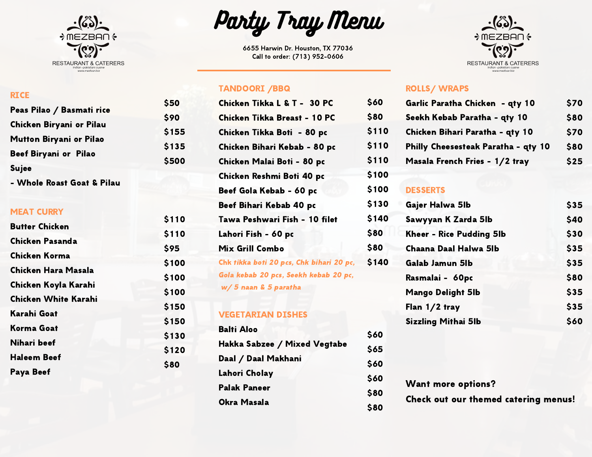

# Party Tray Menu

6655 Harwin Dr. Houston, TX 77036 Call to order: (713) 952-0606

#### TANDOORI /BBQ

\$50 \$90 \$155 \$135 \$500

| Chicken Tikka L & T - 30 PC              | \$60  |
|------------------------------------------|-------|
| Chicken Tikka Breast - 10 PC             | \$80  |
| Chicken Tikka Boti - 80 pc               | \$110 |
| Chicken Bihari Kebab - 80 pc             | \$110 |
| Chicken Malai Boti - 80 pc               | \$110 |
| Chicken Reshmi Boti 40 pc                | \$100 |
| Beef Gola Kebab - 60 pc                  | \$100 |
| Beef Bihari Kebab 40 pc                  | \$130 |
| Tawa Peshwari Fish - 10 filet            | \$140 |
| Lahori Fish - 60 pc                      | \$80  |
| <b>Mix Grill Combo</b>                   | \$80  |
| Chk tikka boti 20 pcs, Chk bihari 20 pc, | \$140 |
| Gola kebab 20 pcs, Seekh kebab 20 pc,    |       |
| w/5 naan & 5 paratha                     |       |

### VEGETARIAN DISHES

| <b>Balti Aloo</b>            |             |
|------------------------------|-------------|
|                              | \$60        |
| Hakka Sabzee / Mixed Vegtabe | <b>S65</b>  |
| Daal / Daal Makhani          | \$60        |
| Lahori Cholay                | \$60        |
| <b>Palak Paneer</b>          | <b>S80</b>  |
| Okra Masala                  | <b>\$80</b> |



#### ROLLS/ WRAPS

| 560  | Garlic Paratha Chicken - qty 10     | \$70 |
|------|-------------------------------------|------|
| 580  | Seekh Kebab Paratha - qty 10        | \$80 |
| 5110 | Chicken Bihari Paratha - qty 10     | \$70 |
| 5110 | Philly Cheesesteak Paratha - qty 10 | \$80 |
| 5110 | Masala French Fries - 1/2 tray      | \$25 |
|      |                                     |      |

#### 100 DESSERTS

| 130 | Gajer Halwa 5lb            | \$35 |
|-----|----------------------------|------|
| 140 | Sawyyan K Zarda 5lb        | \$40 |
| 80  | Kheer - Rice Pudding 5lb   | \$30 |
| 80  | Chaana Daal Halwa 5lb      | \$35 |
| 140 | Galab Jamun 5lb            | \$35 |
|     | Rasmalai - 60pc            | \$80 |
|     | <b>Mango Delight 5lb</b>   | \$35 |
|     | Flan 1/2 tray              | \$35 |
|     | <b>Sizzling Mithai 5lb</b> | \$60 |
|     |                            |      |

Want more options?

Check out our themed catering menus!

#### **RICE**

| Peas Pilao / Basmati rice    |  |
|------------------------------|--|
| Chicken Biryani or Pilau     |  |
| Mutton Biryani or Pilao      |  |
| <b>Beef Biryani or Pilao</b> |  |
| Sujee                        |  |
| $\mathbf{v}$                 |  |

- Whole Roast Goat & Pilau

#### MEAT CURRY

| \$110 |
|-------|
| \$110 |
| \$95  |
| \$100 |
|       |
| \$100 |
| \$100 |
| \$150 |
| \$150 |
| \$130 |
| \$120 |
| \$80  |
|       |
|       |